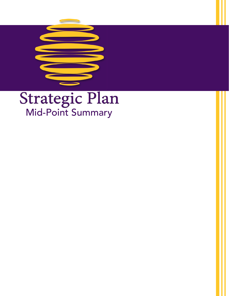

# Strategic Plan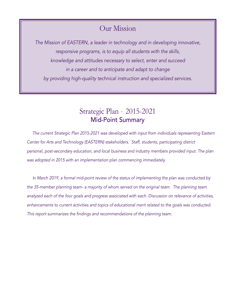# Our Mission

*The Mission of EASTERN, a leader in technology and in developing innovative, responsive programs, is to equip all students with the skills, knowledge and attitudes necessary to select, enter and succeed in a career and to anticipate and adapt to change by providing high-quality technical instruction and specialized services.*

# Strategic Plan • 2015-2021 Mid-Point Summary

 *The current Strategic Plan 2015-2021 was developed with input from individuals representing Eastern Center for Arts and Technology (EASTERN) stakeholders. Staff, students, participating district personal, post-secondary education, and local business and industry members provided input. The plan was adopted in 2015 with an implementation plan commencing immediately.* 

 *In March 2019, a formal mid-point review of the status of implementing the plan was conducted by the 35-member planning team- a majority of whom served on the original team. The planning team analyzed each of the four goals and progress associated with each. Discussion on relevance of activities, enhancements to current activities and topics of educational merit related to the goals was conducted.*  This report summarizes the findings and recommendations of the planning team.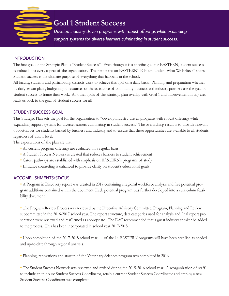

# **Goal 1 Student Success**

 *Develop industry-driven programs with robust offerings while expanding support systems for diverse learners culminating in student success.*

## **INTRODUCTION**

The first goal of the Strategic Plan is "Student Success". Even though it is a specific goal for EASTERN, student success is imbued into every aspect of the organization. The first point on EASTERN's E-Board under "What We Believe" states: Student success is the ultimate purpose of everything that happens in the school.

All faculty, students and participating districts work to achieve this goal on a daily basis. Planning and preparation whether by daily lesson plans, budgeting of resources or the assistance of community business and industry partners use the goal of student success to frame their work. All other goals of this strategic plan overlap with Goal 1 and improvement in any area leads us back to the goal of student success for all.

# STUDENT SUCCESS GOAL

This Strategic Plan sets the goal for the organization to "develop industry-driven programs with robust offerings while expanding support systems for diverse learners culminating in student success." The overarching result is to provide relevant opportunities for students backed by business and industry and to ensure that these opportunities are available to all students regardless of ability level.

The expectations of the plan are that:

- **•** All current program offerings are evaluated on a regular basis
- **•** A Student Success Network is created that reduces barriers to student achievement
- **•** Career pathways are established with emphasis on EASTERN's programs of study
- **•** Entrance counseling is enhanced to provide clarity on student's educational goals

## ACCOMPLISHMENTS/STATUS

**•** A Program in Discovery report was created in 2017 containing a regional workforce analysis and five potential program additions contained within the document. Each potential program was further developed into a curriculum feasibility document.

**•** The Program Review Process was reviewed by the Executive Advisory Committee, Program, Planning and Review subcommittee in the 2016-2017 school year. The report structure, data categories used for analysis and final report presentation were reviewed and reaffirmed as appropriate. The EAC recommended that a guest industry speaker be added to the process. This has been incorporated in school year 2017-2018.

**•** Upon completion of the 2017-2018 school year, 11 of the 14 EASTERN programs will have been certified as needed and up-to-date through regional analysis.

**•** Planning, renovations and startup of the Veterinary Sciences program was completed in 2016.

**•** The Student Success Network was reviewed and revised during the 2015-2016 school year. A reorganization of staff to include an in-house Student Success Coordinator, retain a current Student Success Coordinator and employ a new Student Success Coordinator was completed.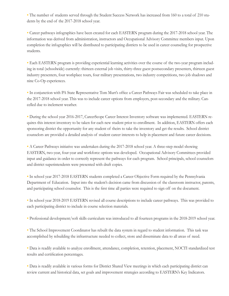**•** The number of students served through the Student Success Network has increased from 160 to a total of 210 students by the end of the 2017-2018 school year.

**•** Career pathways infographics have been created for each EASTERN program during the 2017-2018 school year. The information was derived from administration, instructors and Occupational Advisory Committee members input. Upon completion the infographics will be distributed to participating districts to be used in career counseling for prospective students.

**•** Each EASTERN program is providing experiential learning activities over the course of the two-year program including in total (schoolwide) currently: thirteen external job visits, thirty-three guest postsecondary presenters, thirteen guest industry presenters, four workplace tours, four military presentations, two industry competitions, two job shadows and nine Co-Op experiences.

**•** In conjunction with PA State Representative Tom Murt's office a Career Pathways Fair was scheduled to take place in the 2017-2018 school year. This was to include career options from employers, post-secondary and the military. Cancelled due to inclement weather.

**•** During the school year 2016-2017, CareerScope Career Interest Inventory software was implemented. EASTERN requires this interest inventory to be taken for each new student prior to enrollment. In addition, EASTERN offers each sponsoring district the opportunity for any student of theirs to take the inventory and get the results. School district counselors are provided a detailed analysis of student career interests to help in placement and future career decisions.

**•** A Career Pathways initiative was undertaken during the 2017-2018 school year. A three-step model showing EASTERN, two-year, four-year and workforce options was developed. Occupational Advisory Committees provided input and guidance in order to correctly represent the pathways for each program. School principals, school counselors and district superintendents were presented with draft copies.

**•** In school year 2017-2018 EASTERN students completed a Career Objective Form required by the Pennsylvania Department of Education. Input into the student's decision came from discussion of the classroom instructor, parents, and participating school counselor. This is the first time all parties were required to sign off on the document.

**•** In school year 2018-2019 EASTERN revised all course descriptions to include career pathways. This was provided to each participating district to include in course selection materials.

**•** Professional development/soft skills curriculum was introduced to all fourteen programs in the 2018-2019 school year.

**•** The School Improvement Coordinator has rebuilt the data system in regard to student information. This task was accomplished by rebuilding the infrastructure needed to collect, store and disseminate data to all areas of need.

**•** Data is readily available to analyze enrollment, attendance, completion, retention, placement, NOCTI standardized test results and certification percentages.

**•** Data is readily available in various forms for District Shared View meetings in which each participating district can review current and historical data, set goals and improvement strategies according to EASTERN's Key Indicators.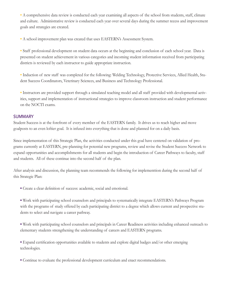• A comprehensive data review is conducted each year examining all aspects of the school from students, staff, climate and culture. Administrative review is conducted each year over several days during the summer recess and improvement goals and strategies are created.

**•** A school improvement plan was created that uses EASTERN's Assessment System.

**•** Staff professional development on student data occurs at the beginning and conclusion of each school year. Data is presented on student achievement in various categories and incoming student information received from participating districts is reviewed by each instructor to guide appropriate instruction.

**•** Induction of new staff was completed for the following: Welding Technology, Protective Services, Allied Health, Student Success Coordinators, Veterinary Sciences, and Business and Technology Professional.

**•** Instructors are provided support through a simulated teaching model and all staff provided with developmental activities, support and implementation of instructional strategies to improve classroom instruction and student performance on the NOCTI exams.

#### SUMMARY

Student Success is at the forefront of every member of the EASTERN family. It drives us to reach higher and move goalposts to an even loftier goal. It is infused into everything that is done and planned for on a daily basis.

Since implementation of this Strategic Plan, the activities conducted under this goal have centered on validation of programs currently at EASTERN, pre-planning for potential new programs, review and revise the Student Success Network to expand opportunities and accomplishments for all students and begin the introduction of Career Pathways to faculty, staff and students. All of these continue into the second half of the plan.

After analysis and discussion, the planning team recommends the following for implementtion during the second half of this Strategic Plan:

- **•** Create a clear definition of success: academic, social and emotional.
- **•** Work with participating school counselors and principals to systematically integrate EASTERN's Pathways Program with the programs of study offered by each participating district to a degree which allows current and prospective students to select and navigate a career pathway.

**•** Work with participating school counselors and principals in Career Readiness activities including enhanced outreach to elementary students strengthening the understanding of careers and EASTERN programs.

**•** Expand certification opportunities available to students and explore digital badges and/or other emerging technologies.

**•** Continue to evaluate the professional development curriculum and enact recommendations.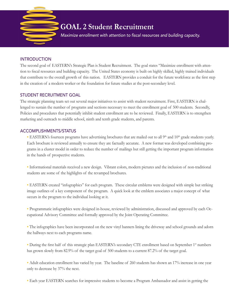

## INTRODUCTION

The second goal of EASTERN's Strategic Plan is Student Recruitment. The goal states "Maximize enrollment with attention to fiscal resources and building capacity. The United States economy is built on highly skilled, highly trained individuals that contribute to the overall growth of this nation. EASTERN provides a conduit for the future workforce as the first step in the creation of a modern worker or the foundation for future studies at the post-secondary level.

## STUDENT RECRUITMENT GOAL

The strategic planning team set out several major initiatives to assist with student recruitment. First, EASTERN is challenged to sustain the number of programs and sections necessary to meet the enrollment goal of 500 students. Secondly, Policies and procedures that potentially inhibit student enrollment are to be reviewed. Finally, EASTERN is to strengthen marketing and outreach to middle school, ninth and tenth grade students, and parents.

#### ACCOMPLISHMENTS/STATUS

• EASTERN's fourteen programs have advertising brochures that are mailed out to all 9<sup>th</sup> and 10<sup>th</sup> grade students yearly. Each brochure is reviewed annually to ensure they are factually accurate. A new format was developed combining programs in a cluster model in order to reduce the number of mailings but still getting the important program information in the hands of prospective students.

**•** Informational materials received a new design. Vibrant colors, modern pictures and the inclusion of non-traditional students are some of the highlights of the revamped brochures.

**•** EASTERN created "infographics" for each program. These circular emblems were designed with simple but striking image outlines of a key component of the program. A quick look at the emblem associates a major concept of what occurs in the program to the individual looking at it.

**•** Programmatic infographics were designed in-house, reviewed by administration, discussed and approved by each Occupational Advisory Committee and formally approved by the Joint Operating Committee.

• The infographics have been incorporated on the new vinyl banners lining the driveway and school grounds and adorn the hallways next to each programs name.

• During the first half of this strategic plan EASTERN's secondary CTE enrollment based on September 1<sup>st</sup> numbers has grown slowly from 82.9% of the target goal of 500 students to a current 87.2% of the target goal.

• Adult education enrollment has varied by year. The baseline of 260 students has shown an 17% increase in one year only to decrease by 37% the next.

**•** Each year EASTERN searches for impressive students to become a Program Ambassador and assist in getting the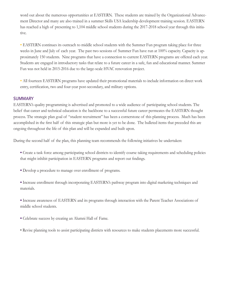word out about the numerous opportunities at EASTERN. These students are trained by the Organizational Advancement Director and many are also trained in a summer Skills USA leadership development training session. EASTERN has reached a high of presenting to 1,104 middle school students during the 2017-2018 school year through this initiative.

• EASTERN continues its outreach to middle school students with the Summer Fun program taking place for three weeks in June and July of each year. The past two sessions of Summer Fun have run at 100% capacity. Capacity is approximately 150 students. Nine programs that have a connection to current EASTERN programs are offered each year. Students are engaged in introductory tasks that relate to a future career in a safe, fun and educational manner. Summer Fun was not held in 2015-2016 due to the large-scale HVAC renovation project.

**•** All fourteen EASTERN programs have updated their promotional materials to include information on direct work entry, certification, two and four-year post-secondary, and military options.

#### SUMMARY

EASTERN's quality programming is advertised and promoted to a wide audience of participating school students. The belief that career and technical education is the backbone to a successful future career permeates the EASTERN thought process. The strategic plan goal of "student recruitment" has been a cornerstone of this planning process. Much has been accomplished in the first half of this strategic plan but more is yet to be done. The bulleted items that preceded this are ongoing throughout the life of this plan and will be expanded and built upon.

During the second half of the plan, this planning team recommends the following initiatives be undertaken:

- **•** Create a task force among participating school districts to identify course taking requirements and scheduling policies that might inhibit participation in EASTERN programs and report out findings.
- **•** Develop a procedure to manage over enrollment of programs.
- **•** Increase enrollment through incorporating EASTERN's pathway program into digital marketing techniques and materials.
- **•** Increase awareness of EASTERN and its programs through interaction with the Parent Teacher Associations of middle school students.
- **•** Celebrate success by creating an Alumni Hall of Fame.

• Revise planning tools to assist participating districts with resources to make students placements more successful.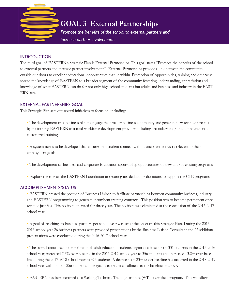

#### **INTRODUCTION**

The third goal of EASTERN's Strategic Plan is External Partnerships. This goal states "Promote the benefits of the school to external partners and increase partner involvement." External Partnerships provide a link between the community outside our doors to excellent educational opportunities that lie within. Promotion of opportunities, training and otherwise spread the knowledge of EASTERN to a broader segment of the community fostering understanding, appreciation and knowledge of what EASTERN can do for not only high school students but adults and business and industry in the EAST-ERN area.

#### EXTERNAL PARTNERSHIPS GOAL

This Strategic Plan sets out several initiatives to focus on, including:

• The development of a business plan to engage the broader business community and generate new revenue streams by positioning EASTERN as a total workforce development provider including secondary and/or adult education and customized training

• A system needs to be developed that ensures that student connect with business and industry relevant to their employment goals

- The development of business and corporate foundation sponsorship opportunities of new and/or existing programs
- **•** Explore the role of the EASTERN Foundation in securing tax-deductible donations to support the CTE programs

#### ACCOMPLISHMENTS/STATUS

**•** EASTERN created the position of Business Liaison to facilitate partnerships between community business, industry and EASTERN programming to generate incumbent training contracts. This position was to become permanent once revenue justifies. This position operated for three years. The position was eliminated at the conclusion of the 2016-2017 school year.

**•** A goal of reaching six business partners per school year was set at the onset of this Strategic Plan. During the 2015- 2016 school year 26 business partners were provided presentations by the Business Liaison Consultant and 22 additional presentations were conducted during the 2016-2017 school year.

**•** The overall annual school enrollment of adult education students began as a baseline of 331 students in the 2015-2016 school year, increased 7.5% over baseline in the 2016-2017 school year to 356 students and increased 13.2% over baseline during the 2017-2018 school year to 375 students. A decrease of 23% under baseline has occurred in the 2018-2019 school year with total of 256 students. The goal is to return enrollment to the baseline or above.

**•** EASTERN has been certified as a Welding Technical Training Institute (WTTI) certified program. This will allow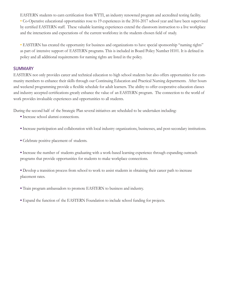EASTERN students to earn certification from WTTI, an industry renowned program and accredited testing facility. **•** Co-Operative educational opportunities rose to 19 experiences in the 2016-2017 school year and have been supervised by certified EASTERN staff. These valuable learning experiences extend the classroom instruction to a live workplace and the interactions and expectations of the current workforce in the students chosen field of study.

**•** EASTERN has created the opportunity for business and organizations to have special sponsorship "naming rights" as part of intensive support of EASTERN programs. This is included in Board Policy Number H101. It is defined in policy and all additional requirements for naming rights are listed in the policy.

#### **SUMMARY**

EASTERN not only provides career and technical education to high school students but also offers opportunities for community members to enhance their skills through our Continuing Education and Practical Nursing departments. After hours and weekend programming provide a flexible schedule for adult learners. The ability to offer cooperative education classes and industry accepted certifications greatly enhance the value of an EASTERN program. The connection to the world of work provides invaluable experiences and opportunities to all students.

During the second half of the Strategic Plan several initiatives are scheduled to be undertaken including:

- **•** Increase school alumni connections.
- **•** Increase participation and collaboration with local industry organizations, businesses, and post-secondary institutions.
- **•** Celebrate positive placement of students.

**•** Increase the number of students graduating with a work-based learning experience through expanding outreach programs that provide opportunities for students to make workplace connections.

- **•** Develop a transition process from school to work to assist students in obtaining their career path to increase placement rates.
- **•** Train program ambassadors to promote EASTERN to business and industry.
- **•** Expand the function of the EASTERN Foundation to include school funding for projects.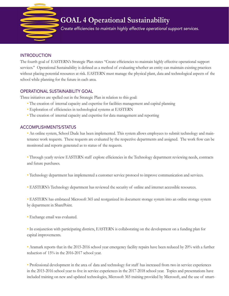

# **GOAL 4 Operational Sustainability**

 Create efficiencies to maintain highly effective operational support services.

## INTRODUCTION

The fourth goal of EASTERN's Strategic Plan states "Create efficiencies to maintain highly effective operational support services." Operational Sustainability is defined as a method of evaluating whether an entity can maintain existing practices without placing potential resources at risk. EASTERN must manage the physical plant, data and technological aspects of the school while planning for the future in each area.

## OPERATIONAL SUSTAINABILITY GOAL

Three initiatives are spelled out in the Strategic Plan in relation to this goal:

- The creation of internal capacity and expertise for facilities management and capital planning
- **•** Exploration of efficiencies in technological systems at EASTERN
- **•** The creation of internal capacity and expertise for data management and reporting

# ACCOMPLISHMENTS/STATUS

**•** An online system, School Dude has been implemented. This system allows employees to submit technology and maintenance work requests. These requests are evaluated by the respective departments and assigned. The work flow can be monitored and reports generated as to status of the requests.

**•** Through yearly review EASTERN staff explore efficiencies in the Technology department reviewing needs, contracts and future purchases.

- **•** Technology department has implemented a customer service protocol to improve communication and services.
- **•** EASTERN's Technology department has reviewed the security of online and internet accessible resources.

**•** EASTERN has embraced Microsoft 365 and reorganized its document storage system into an online storage system by department in SharePoint.

**•** Exchange email was evaluated.

**•** In conjunction with participating districts, EASTERN is collaborating on the development on a funding plan for capital improvements.

• Aramark reports that in the 2015-2016 school year emergency facility repairs have been reduced by 20% with a further reduction of 15% in the 2016-2017 school year.

**•** Professional development in the area of data and technology for staff has increased from two in service experiences in the 2015-2016 school year to five in service experiences in the 2017-2018 school year. Topics and presentations have included training on new and updated technologies, Microsoft 365 training provided by Microsoft, and the use of smart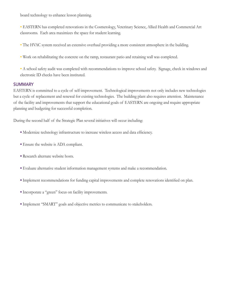board technology to enhance lesson planning.

**•** EASTERN has completed renovations in the Cosmetology, Veterinary Science, Allied Health and Commercial Art classrooms. Each area maximizes the space for student learning.

- **•** The HVAC system received an extensive overhaul providing a more consistent atmosphere in the building.
- **•** Work on rehabilitating the concrete on the ramp, restaurant patio and retaining wall was completed.
- **•** A school safety audit was completed with recommendations to improve school safety. Signage, check in windows and electronic ID checks have been instituted.

#### SUMMARY

EASTERN is committed to a cycle of self-improvement. Technological improvements not only includes new technologies but a cycle of replacement and renewal for existing technologies. The building plant also requires attention. Maintenance of the facility and improvements that support the educational goals of EASTERN are ongoing and require appropriate planning and budgeting for successful completion.

During the second half of the Strategic Plan several initiatives will occur including:

- **•** Modernize technology infrastructure to increase wireless access and data efficiency.
- **•** Ensure the website is ADA compliant.
- **•** Research alternate website hosts.
- **•** Evaluate alternative student information management systems and make a recommendation.
- **•** Implement recommendations for funding capital improvements and complete renovations identified on plan.
- **•** Incorporate a "green" focus on facility improvements.
- **•** Implement "SMART" goals and objective metrics to communicate to stakeholders.